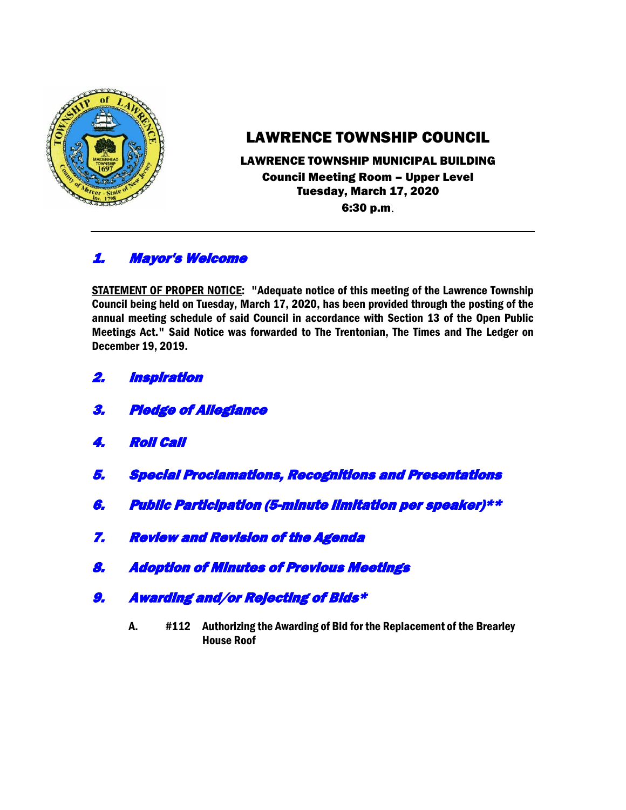

# LAWRENCE TOWNSHIP COUNCIL

### LAWRENCE TOWNSHIP MUNICIPAL BUILDING Council Meeting Room – Upper Level Tuesday, March 17, 2020 6:30 p.m.

## 1. Mayor's Welcome

STATEMENT OF PROPER NOTICE: "Adequate notice of this meeting of the Lawrence Township Council being held on Tuesday, March 17, 2020, has been provided through the posting of the annual meeting schedule of said Council in accordance with Section 13 of the Open Public Meetings Act." Said Notice was forwarded to The Trentonian, The Times and The Ledger on December 19, 2019.

- 2. Inspiration
- 3. Pledge of Allegiance
- 4. Roll Call
- 5. Special Proclamations, Recognitions and Presentations
- 6. Public Participation (5-minute limitation per speaker)\*\*
- 7. Review and Revision of the Agenda
- 8. Adoption of Minutes of Previous Meetings
- 9. Awarding and/or Rejecting of Bids\*
	- A. #112 Authorizing the Awarding of Bid for the Replacement of the Brearley House Roof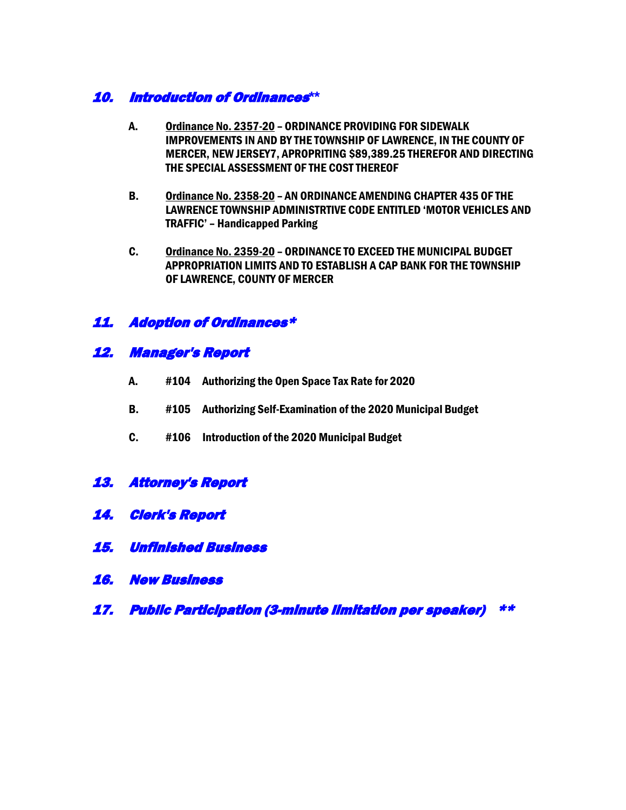### 10. Introduction of Ordinances**\*\***

- A. Ordinance No. 2357-20 ORDINANCE PROVIDING FOR SIDEWALK IMPROVEMENTS IN AND BY THE TOWNSHIP OF LAWRENCE, IN THE COUNTY OF MERCER, NEW JERSEY7, APROPRITING \$89,389.25 THEREFOR AND DIRECTING THE SPECIAL ASSESSMENT OF THE COST THEREOF
- B. Ordinance No. 2358-20 AN ORDINANCE AMENDING CHAPTER 435 OF THE LAWRENCE TOWNSHIP ADMINISTRTIVE CODE ENTITLED 'MOTOR VEHICLES AND TRAFFIC' – Handicapped Parking
- C. Ordinance No. 2359-20 ORDINANCE TO EXCEED THE MUNICIPAL BUDGET APPROPRIATION LIMITS AND TO ESTABLISH A CAP BANK FOR THE TOWNSHIP OF LAWRENCE, COUNTY OF MERCER

## 11. Adoption of Ordinances\*

### 12. Manager's Report

- A. #104 Authorizing the Open Space Tax Rate for 2020
- B. #105 Authorizing Self-Examination of the 2020 Municipal Budget
- C. #106 Introduction of the 2020 Municipal Budget
- 13. Attorney's Report
- 14. Clerk's Report
- 15. Unfinished Business
- 16. New Business
- 17. Public Participation (3-minute limitation per speaker) \*\*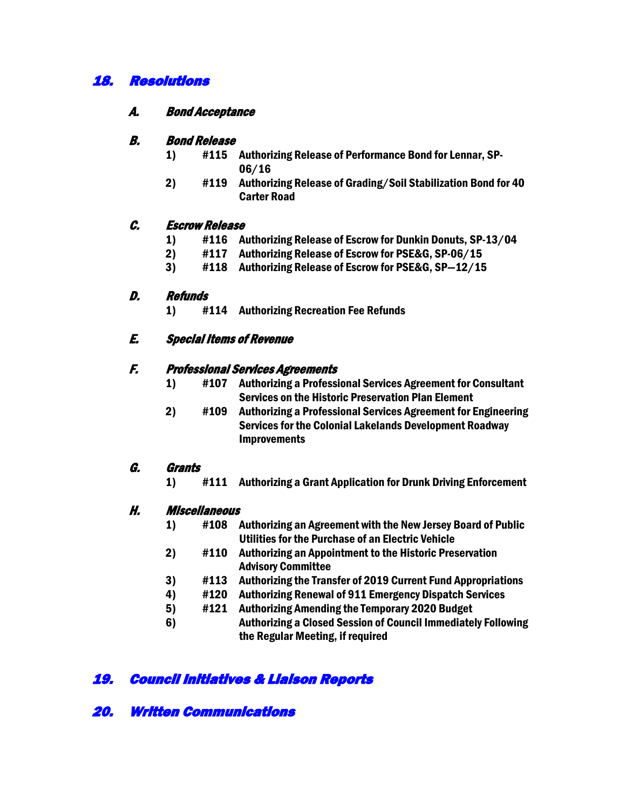## 18. Resolutions

#### A. Bond Acceptance

#### B. Bond Release

- 1) #115 Authorizing Release of Performance Bond for Lennar, SP-06/16
- 2) #119 Authorizing Release of Grading/Soil Stabilization Bond for 40 Carter Road

#### C. Escrow Release

- 1) #116 Authorizing Release of Escrow for Dunkin Donuts, SP-13/04
- 2) #117 Authorizing Release of Escrow for PSE&G, SP-06/15
- 3) #118 Authorizing Release of Escrow for PSE&G, SP—12/15

#### D. Refunds

1) #114 Authorizing Recreation Fee Refunds

#### E. Special Items of Revenue

#### F. Professional Services Agreements

- 1) #107 Authorizing a Professional Services Agreement for Consultant Services on the Historic Preservation Plan Element
- 2) #109 Authorizing a Professional Services Agreement for Engineering Services for the Colonial Lakelands Development Roadway Improvements

### G. Grants

1) #111 Authorizing a Grant Application for Drunk Driving Enforcement

#### H. Miscellaneous

- 1) #108 Authorizing an Agreement with the New Jersey Board of Public Utilities for the Purchase of an Electric Vehicle
- 2) #110 Authorizing an Appointment to the Historic Preservation Advisory Committee
- 3) #113 Authorizing the Transfer of 2019 Current Fund Appropriations
- 4) #120 Authorizing Renewal of 911 Emergency Dispatch Services
- 5) #121 Authorizing Amending the Temporary 2020 Budget
- 6) Authorizing a Closed Session of Council Immediately Following the Regular Meeting, if required

## 19. Council Initiatives & Liaison Reports

### 20. Written Communications